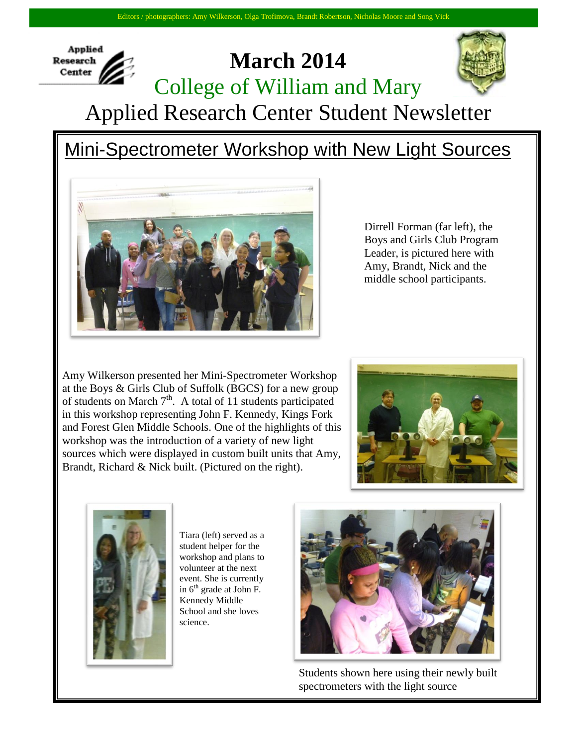

## **March 2014** College of William and Mary



Applied Research Center Student Newsletter

## Mini-Spectrometer Workshop with New Light Sources



Dirrell Forman (far left), the Boys and Girls Club Program Leader, is pictured here with Amy, Brandt, Nick and the middle school participants.

Amy Wilkerson presented her Mini-Spectrometer Workshop at the Boys & Girls Club of Suffolk (BGCS) for a new group of students on March  $7<sup>th</sup>$ . A total of 11 students participated in this workshop representing John F. Kennedy, Kings Fork and Forest Glen Middle Schools. One of the highlights of this workshop was the introduction of a variety of new light sources which were displayed in custom built units that Amy, Brandt, Richard & Nick built. (Pictured on the right).





Tiara (left) served as a student helper for the workshop and plans to volunteer at the next event. She is currently in  $6<sup>th</sup>$  grade at John F. Kennedy Middle School and she loves science.



Students shown here using their newly built spectrometers with the light source